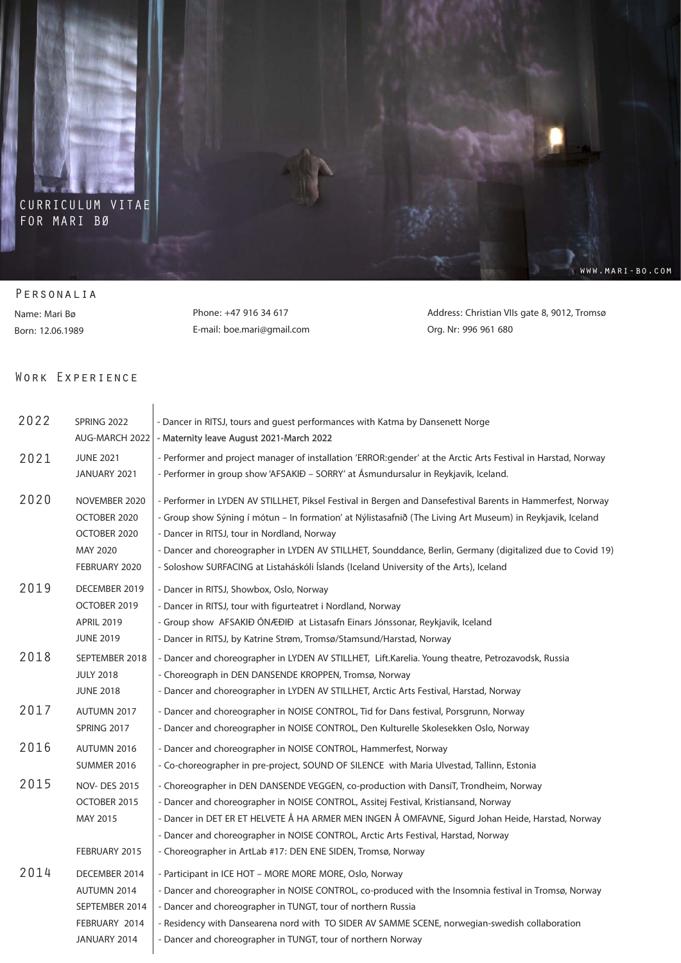

## CURRICULUM VITAE FOR MARI BØ

## Personalia

Name: Mari Bø Born: 12.06.1989

Phone: +47 916 34 617 E-mail: boe.mari@gmail.com Address: Christian VIIs gate 8, 9012, Tromsø Org. Nr: 996 961 680

www.mari-bo.com

## Work Experience

| 2022 | SPRING 2022         | - Dancer in RITSJ, tours and guest performances with Katma by Dansenett Norge                                  |
|------|---------------------|----------------------------------------------------------------------------------------------------------------|
|      | AUG-MARCH 2022      | - Maternity leave August 2021-March 2022                                                                       |
| 2021 | <b>JUNE 2021</b>    | - Performer and project manager of installation 'ERROR: gender' at the Arctic Arts Festival in Harstad, Norway |
|      | JANUARY 2021        | - Performer in group show 'AFSAKIĐ - SORRY' at Ásmundursalur in Reykjavik, Iceland.                            |
|      |                     |                                                                                                                |
| 2020 | NOVEMBER 2020       | - Performer in LYDEN AV STILLHET, Piksel Festival in Bergen and Dansefestival Barents in Hammerfest, Norway    |
|      | OCTOBER 2020        | - Group show Sýning í mótun - In formation' at Nýlistasafnið (The Living Art Museum) in Reykjavik, Iceland     |
|      | OCTOBER 2020        | - Dancer in RITSJ, tour in Nordland, Norway                                                                    |
|      | MAY 2020            | - Dancer and choreographer in LYDEN AV STILLHET, Sounddance, Berlin, Germany (digitalized due to Covid 19)     |
|      | FEBRUARY 2020       | - Soloshow SURFACING at Listaháskóli Íslands (Iceland University of the Arts), Iceland                         |
| 2019 | DECEMBER 2019       | - Dancer in RITSJ, Showbox, Oslo, Norway                                                                       |
|      | OCTOBER 2019        | - Dancer in RITSJ, tour with figurteatret i Nordland, Norway                                                   |
|      | <b>APRIL 2019</b>   | - Group show AFSAKIĐ ÓNÆÐIÐ at Listasafn Einars Jónssonar, Reykjavik, Iceland                                  |
|      | <b>JUNE 2019</b>    | - Dancer in RITSJ, by Katrine Strøm, Tromsø/Stamsund/Harstad, Norway                                           |
| 2018 | SEPTEMBER 2018      | - Dancer and choreographer in LYDEN AV STILLHET, Lift.Karelia. Young theatre, Petrozavodsk, Russia             |
|      | <b>JULY 2018</b>    | - Choreograph in DEN DANSENDE KROPPEN, Tromsø, Norway                                                          |
|      | <b>JUNE 2018</b>    | - Dancer and choreographer in LYDEN AV STILLHET, Arctic Arts Festival, Harstad, Norway                         |
| 2017 | AUTUMN 2017         | - Dancer and choreographer in NOISE CONTROL, Tid for Dans festival, Porsgrunn, Norway                          |
|      | SPRING 2017         | - Dancer and choreographer in NOISE CONTROL, Den Kulturelle Skolesekken Oslo, Norway                           |
| 2016 | AUTUMN 2016         | - Dancer and choreographer in NOISE CONTROL, Hammerfest, Norway                                                |
|      | <b>SUMMER 2016</b>  | - Co-choreographer in pre-project, SOUND OF SILENCE with Maria Ulvestad, Tallinn, Estonia                      |
| 2015 | <b>NOV-DES 2015</b> | - Choreographer in DEN DANSENDE VEGGEN, co-production with DansiT, Trondheim, Norway                           |
|      | OCTOBER 2015        | - Dancer and choreographer in NOISE CONTROL, Assitej Festival, Kristiansand, Norway                            |
|      | MAY 2015            | - Dancer in DET ER ET HELVETE Å HA ARMER MEN INGEN Å OMFAVNE, Sigurd Johan Heide, Harstad, Norway              |
|      |                     | - Dancer and choreographer in NOISE CONTROL, Arctic Arts Festival, Harstad, Norway                             |
|      | FEBRUARY 2015       | - Choreographer in ArtLab #17: DEN ENE SIDEN, Tromsø, Norway                                                   |
| 2014 | DECEMBER 2014       | - Participant in ICE HOT - MORE MORE MORE, Oslo, Norway                                                        |
|      | AUTUMN 2014         | - Dancer and choreographer in NOISE CONTROL, co-produced with the Insomnia festival in Tromsø, Norway          |
|      | SEPTEMBER 2014      | - Dancer and choreographer in TUNGT, tour of northern Russia                                                   |
|      | FEBRUARY 2014       | - Residency with Dansearena nord with TO SIDER AV SAMME SCENE, norwegian-swedish collaboration                 |
|      | JANUARY 2014        | - Dancer and choreographer in TUNGT, tour of northern Norway                                                   |
|      |                     |                                                                                                                |